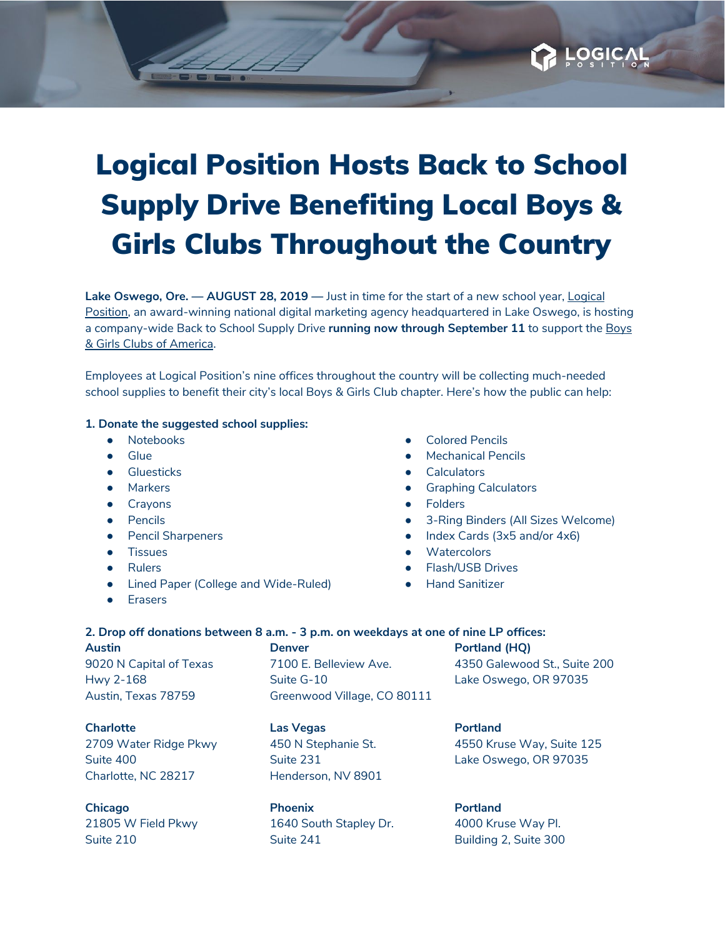## Logical Position Hosts Back to School Supply Drive Benefiting Local Boys & Girls Clubs Throughout the Country

**Lake Oswego, Ore. — AUGUST 28, 2019 —** Just in time for the start of a new school year, [Logical](https://www.logicalposition.com/) [Position](https://www.logicalposition.com/), an award-winning national digital marketing agency headquartered in Lake Oswego, is hosting a company-wide Back to School Supply Drive **running now through September 11** to support the [Boys](https://www.bgca.org/?gclid=EAIaIQobChMIs7ueuJva3AIVxLXACh262gIlEAAYAiAAEgJUtvD_BwE) & Girls Clubs of [America](https://www.bgca.org/?gclid=EAIaIQobChMIs7ueuJva3AIVxLXACh262gIlEAAYAiAAEgJUtvD_BwE).

Employees at Logical Position's nine offices throughout the country will be collecting much-needed school supplies to benefit their city's local Boys & Girls Club chapter. Here's how the public can help:

## **1. Donate the suggested school supplies:**

- Notebooks
- Glue
- Gluesticks
- Markers
- Crayons
- Pencils
- Pencil Sharpeners
- Tissues
- Rulers
- Lined Paper (College and Wide-Ruled)
- Erasers
- **Colored Pencils**
- **Mechanical Pencils**
- **Calculators**
- **Graphing Calculators**
- **Folders**
- 3-Ring Binders (All Sizes Welcome)

OGIC

- Index Cards (3x5 and/or 4x6)
- Watercolors
- Flash/USB Drives
- **Hand Sanitizer**

## **2. Drop off donations between 8 a.m. - 3 p.m. on weekdays at one of nine LP offices:**

**Austin** 9020 N Capital of Texas Hwy 2-168 Austin, Texas 78759

**Denver** 7100 E. Belleview Ave. Suite G-10 Greenwood Village, CO 80111 **Portland (HQ)** 4350 Galewood St., Suite 200 Lake Oswego, OR 97035

**Charlotte** 2709 Water Ridge Pkwy Suite 400 Charlotte, NC 28217

**Chicago** 21805 W Field Pkwy Suite 210

**Las Vegas** 450 N Stephanie St. Suite 231 Henderson, NV 8901

**Phoenix** 1640 South Stapley Dr. Suite 241

**Portland** 4550 Kruse Way, Suite 125 Lake Oswego, OR 97035

**Portland** 4000 Kruse Way Pl. Building 2, Suite 300